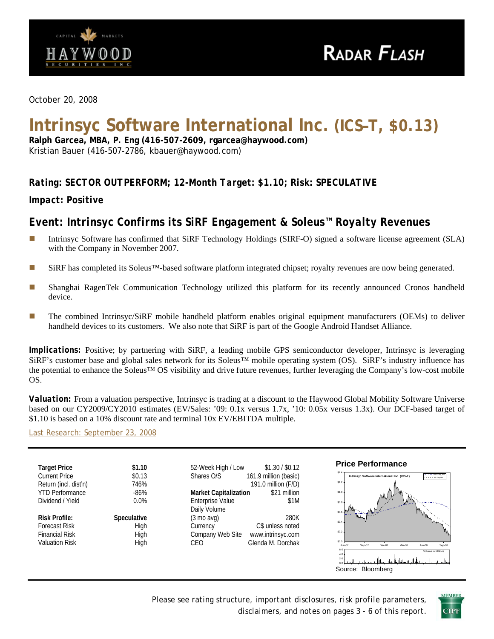

*October 20, 2008* 

# **Intrinsyc Software International Inc. (ICS–T, \$0.13)**

**Ralph Garcea, MBA, P. Eng (416-507-2609, rgarcea@haywood.com)**  Kristian Bauer (416-507-2786, kbauer@haywood.com)

# *Rating: SECTOR OUTPERFORM; 12-Month Target: \$1.10; Risk: SPECULATIVE*

*Impact: Positive* 

# *Event: Intrinsyc Confirms its SiRF Engagement & Soleus™ Royalty Revenues*

- Intrinsyc Software has confirmed that SiRF Technology Holdings (SIRF-O) signed a software license agreement (SLA) with the Company in November 2007.
- SiRF has completed its Soleus<sup>™-</sup>based software platform integrated chipset; royalty revenues are now being generated.
- Shanghai RagenTek Communication Technology utilized this platform for its recently announced Cronos handheld device.
- **The combined Intrinsyc/SiRF mobile handheld platform enables original equipment manufacturers (OEMs) to deliver** handheld devices to its customers. We also note that SiRF is part of the Google Android Handset Alliance.

*Implications:* Positive; by partnering with SiRF, a leading mobile GPS semiconductor developer, Intrinsyc is leveraging SiRF's customer base and global sales network for its Soleus™ mobile operating system (OS). SiRF's industry influence has the potential to enhance the Soleus™ OS visibility and drive future revenues, further leveraging the Company's low-cost mobile OS.

*Valuation:* From a valuation perspective, Intrinsyc is trading at a discount to the Haywood Global Mobility Software Universe based on our CY2009/CY2010 estimates (EV/Sales: '09: 0.1x versus 1.7x, '10: 0.05x versus 1.3x). Our DCF-based target of \$1.10 is based on a 10% discount rate and terminal 10x EV/EBITDA multiple.

[Last Research: September 23, 2008](http://www.haywood.com/pdffiles/ICSSept232008.pdf)



*Please see rating structure, important disclosures, risk profile parameters, disclaimers, and notes on pages 3 - 6 of this report*.

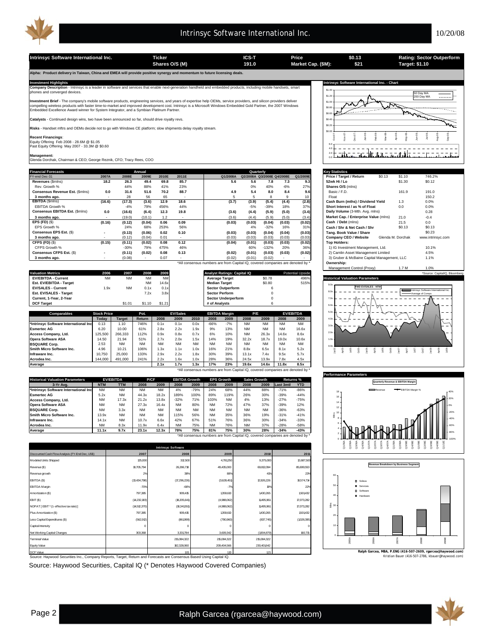

**Intrinsyc Software International Inc. Ticker Ticker ICS-T Price CALCO COLOGY Exating: Sector Outperform**<br> **ICS-T Price Solutional COLOGY Example: \$1.10 Target: \$1.10 Target: \$1.10 \$0.13 \$21 Shares O/S (M) Market Cap. (\$M): 191.0 Target: \$1.10 Alpha: Product delivery in Taiwan, China and EMEA will provide positive synergy and momentum to future licensing deals.**  Investment Highlights Mathemational Inc. - Chart<br>Company Description - Intrinsyc is a leader in software and services that enable next-generation handheld and embedded products, including mobile handsets, smart state of th \$1.40 50 Day MA \$1.20 200 Day MA **nt Brief** - The company's mobile software products, engineering services, and years of expertise help OEMs, service providers, and silicon providers deliver \$1.0 compelling wireless products with faster time-to-market and improved development cost. Intrinsyc is a Microsoft Windows Embedded Gold Partner, the 2007 Windows<br>Embedded Excellence Award winner for System Integrator, and a لدن \$0.8 فلقمه \$0.60 **Catalysts** - Continued design wins, two have been announced so far, should drive royalty revs. \$0.40 **Risks** - Handset mftrs and OEMs decide not to go with Windows CE platform; slow shipments delay royalty stream. \$0.20  $\sin \alpha$ Apr-08 Jun-08 Jul-08 Aug-08 Nov-07  $\frac{8}{5}$ Feb-08 Mar-08 Sep-08 **Recent Financings**: Oct-07 Dec-07 May-08 Equity Offering Feb 2008 - 28.6M @ \$1.05 Past Equity Offering May 2007 - 33.3M @ \$0.60 6.0 . . . . . . . . . <u>Jata</u> 4.0  $=$   $-$ <u>ان تا،</u>  $-<sub>1</sub>$ 0.0 2.0 **Management:** Glenda Dorchak, Chairman & CEO; George Reznik, CFO; Tracy Rees, COO **Financial Forecasts Key Statistics Annual Quarterly** FY-end Dec-31 **2007A 2008E 2009E 2010E 2011E Q1/2008A Q2/2008A Q3/2008E Q4/2008E Q1/2009E Price / Target / Return** \$0.13 \$1.10 746.2% **Revenues** (\$mlns) **18.2 26.3 49.4 69.8 85.7 5.6 5.6 7.8 7.3 9.3 52wk Hi / Lo** \$1.30 \$0.12 **Consensus Revenue Est. (\$mlns) 0.0 31.6 51.6 70.2 88.7 4.9 5.4 8.0 8.4 9.6** Basic / F.D. 161.9 191.0<br> **Consensus Revenue Est. (\$mlns) 0.0 31.6 51.6 70.2 88.7 4.9 5.4 8.0 8.4 9.6 Basic / F.D. 161.9 191.0** Rev. Growth % 44% 88% 41% 23% 0% 40% -6% 27% **Shares O/S** (mlns) EBITDA **(16.6) (17.3) 58 65 12.9 10.9 12.9) (18.6) (17.3) (3.9) (18.6) (17.6) (17.6) (18.6) (18.6) (18.6) (18.6)<br>EBITDA Growth % (18.6) (18.4) (3.9) 12.9 18.6 (3.7) (3.4) (3.4) (3.4) (3.8) Cash Burn (mths) / Dividend Yiel 3 months ago.** 28 - 28 56 65 - 1 - 5 5 8 9 10 Float 150.2 150.2 EBITDA Growth % -4% 79% 456% 44% -5% -39% 18% 37% **Short Interest / as % of Float** 0.0 0.0%<br>Consensus EBITDA Est. (\$mins) 0.0 (16.6) (6.4) 12.3 19.8 (3.6) (4.4) (5.9) (5.0) (3.4) Daily Volume (3-Mih. Avg. mins) 0.28 **Consensus EBITDA Est.** (\$mlns) **0.0 (16.6) (6.4) 12.3 19.8 (3.6) (4.4) (5.9) (5.0) (3.4) Daily Volume (**3-Mth. Avg. mlns) 0.28<br>**3 months ago.** (19.0) (10.1) 1.2 - (3.6) (4.4) (5.9) (5.0) (3.4) **Market Cap. / Enterprise 3 months ago.** (19.0) - (19.0) - (19.1) - (19.1) - (19.1) - (19.1) - (19.1) - (19.1) - (19.1) - (19.1) - (19.1) - (19.1) - (19.1) - (19.1) - (19.1) - (19.1) - (19.1) - (19.1) - (19.1) - (19.1) - (19.1) - (19.1) - (19.1) -**EPS (FD)** (\$) **(0.16) (0.12) 0.06 0.09 (0.04) (0.03) (0.03) (0.04) (0.03) (0.02) Cash / Debt** (mlns) 21.5 0.0 EPS Growth % 24% 68% 253% 56% 4% -32% 16% 31% **Cash / Shr & Net Cash / Shr** \$0.13 \$0.13 **Consensus EPS Est.** (\$) **(0.13) - 0.02 0.10 (0.06) (0.03) (0.03) (0.04) (0.04) (0.03) Tang. Book Value / Share** \$0.23 **3 months ago.** (0.12) - 0.01 (0.04) - (0.03) (0.03) (0.03) (0.03) (0.03) **Company CEO / Website** Glenda M. Dorchak www.intrinsyc.com CFPS (FD) (\$) (0.15) (0.11) (0.02) 0.08 0.12 (0.44) (0.04) (0.03) (0.03) (0.03) (0.02) Top Holders:<br>CFPS Growth % -30% 49% 46% 46% 46% 132% 20% 1) IG Investment Management, Ltd. 10.1% 10.1% 10.1% 10.1% 10.1% 10<br>Consensus C **CFPS (FD)** (\$) **(0.15) (0.11) 0.08 0.12 (0.02) (0.04) (0.01) (0.03) (0.03) (0.02) Top Holders: Consensus CFPS Est.** (\$) **(0.11) - 0.08 0.13 (0.02) (0.02) (0.01) (0.03) (0.03) (0.02)** 2) Camlin Asset Management Limited 4.5% **3 months ago.** (0.08) - - 0.07 - (0.02) (0.01) (0.02) - - 3) Gruber & McBaine Capital Management, LLC 1.1% \*All consensus numbers are from Capital IQ, covered companies are denoted by \* **Ownership:** Management Control (Proxy) 1.7 M 1.0% **Valuation Metrics 2006 2007 2008 2009 Analyst Ratings: Capital IQ Potential Upside \*Source: Capital Upside \*Source: CapitalIQ, Bloomberg** EV/EBITDA - Current **NM 14.6x** NM 14.6x Median Target \$0.78 \$1.20 50.78<br>
EST. EV/EBITDA - Target NM 14.6x Median Target \$0.80 515% **EV/EBITDA - Current** NM NM NM NM **Average Target** \$0.78 496% **Historical Valuation Parameters** 9.0x **EV/SALES - Current EV/SALES - Current 1.9x** NM 0.1x 0.1x **Sector Outperform** 6<br> **Est. EV/SALES - Target 1.0x 1.2x 3.8x Sector Perform** 0 **FWD EV/SALES - NTM Est. EV/SALES - Target** Intrinsyc Software International Inc. 8.0x Average of Comps **Current, 1-Year, 2-Year Sector Underperform Sector Underperform Sector Underperform** 7.0x **DCF Target 61.01 \$1.01 \$1.21 \$1.21 # of Analysts** 6.0x **EV/EBITDA** 5.0x **Comparable Stock Price**<br> **Coday Price Returned Target Returned Price**<br> **Comparable 1.10** 7469 **EBITDA Margin EV/Sales P/E**  $\overline{40}$ **Today Target Return 2008 2009 2010 2008 2009 2008 2009 2008 2009 \*Intrinsyc Software International Inc** 0.13 1.10 746% 0.1x 0.1x 0.0x -66% -7% NM NM NM NM 3.0x **Esmertec AG** 6.20 10.00 61% 2.8x 2.2x 1.9x 9% 13% NM NM NM 16.6x  $^{2.0}$ **Access Company, Ltd.** 125,500 266,333 112% 0.9x 0.8x 0.7x 6% 10% NM 26.3x 14.6x 8.6x **Opera Software ASA** 14.50 21.94 51% 2.7x 2.0x 1.5x 14% 19% 32.2x 18.7x 19.0x 10.6x 1.0x **BSQUARE Corp.** 2.53 NM NM NM NM NM NM NM NM NM NM NM 0.0x Apr05 **Smith Micro Software Inc.** 4.96 10.21 106% 1.3x 1.1x 1.0x 16% 21% 8.8x 6.5x 8.1x 5.2x  $\frac{16}{16}$ Jul05 Oct05 Jan06 Apr06 Jul06 Oct06 Jan07 Apr07 Jul07 Oct07 Jan08 Apr08  $\geq$ **Infraware Inc.** 10,750 | 25,000 | 133% | 2.9x 2.2x 1.8x | 30% 39% | 13.1x 7.4x | 9.5x 5.7x **Acrodea Inc.** | 144,000 | 491,000 | 241% | 2.2x 1.6x 1.0x | 28% 36% | 24.5x 13.9x | 7.8x 4.5x **Average 2.1x 1.7x 1.3x 17% 23% 19.6x 14.6x 11.8x 8.5x** \*All consensus numbers are from Capital IQ, covered companies are denoted by \* **Performance Parameters Quarterly Revenue & EBITDA Margin Historical Valuation Parameters EV/EBITDA P/CF EBITDA Growth Sales Growth Returns % EPS Growth**

| <b>Filstorical Valuation Parameters</b>                                      |            | EV/EBILDA  | P/UF.     |           |           | EBITDA Growth |           | <b>EPS Growth</b> | sales Growth |           |           | Returns %  |
|------------------------------------------------------------------------------|------------|------------|-----------|-----------|-----------|---------------|-----------|-------------------|--------------|-----------|-----------|------------|
| 3-Yr Ava.                                                                    | <b>NTM</b> | <b>TTM</b> | 2008      | 2009      | 2008      | 2009          | 2008      | 2009              | 2008         | 2009      | Last 3mtl | <b>YTD</b> |
| I*Intrinsvc Software International Inc                                       | <b>NM</b>  | <b>NM</b>  | <b>NM</b> | <b>NM</b> | 4%        | $-79%$        | 24%       | 68%               | 44%          | 88%       | $-71%$    | $-86%$     |
| <b>Esmertec AG</b>                                                           | 5.2x       | <b>NM</b>  | 44.3x     | 18.2x     | 189%      | 100%          | 89%       | 119%              | 26%          | 30%       | $-39%$    | $-44%$     |
| Access Company, Ltd.                                                         | <b>NM</b>  | 17.3x      | 21.2x     | 13.8x     | $-32%$    | 71%           | 103%      | <b>NM</b>         | 4%           | 13%       | $-27%$    | $-75%$     |
| <b>Opera Software ASA</b>                                                    | <b>NM</b>  | <b>NM</b>  | 27.3x     | 16.4x     | <b>NM</b> | 80%           | <b>NM</b> | 72%               | 47%          | 37%       | $-39%$    | 12%        |
| <b>BSQUARE Corp.</b>                                                         | <b>NM</b>  | 3.3x       | <b>NM</b> | <b>NM</b> | <b>NM</b> | <b>NM</b>     | <b>NM</b> | <b>NM</b>         | <b>NM</b>    | <b>NM</b> | $-36%$    | $-63%$     |
| Smith Micro Software Inc.                                                    | 13.9x      | <b>NM</b>  | <b>NM</b> | <b>NM</b> | 115%      | 56%           | <b>NM</b> | 35%               | 36%          | 19%       | $-31%$    | $-41%$     |
| Infraware Inc.                                                               | 14.1x      | <b>NM</b>  | 10.7x     | 6.6x      | 42%       | 67%           | 51%       | 76%               | 36%          | 30%       | $-34%$    | $-33%$     |
| Acrodea Inc.                                                                 | <b>NM</b>  | 8.3x       | 11.9x     | 6.4x      | <b>NM</b> | 75%           | <b>NM</b> | 76%               | <b>NM</b>    | 37%       | $-28%$    | $-58%$     |
| Average                                                                      | 11.1x      | 9.7x       | 23.1x     | 12.3x     | 78%       | 75%           | 81%       | 75%               | 30%          | 28%       | $-34%$    | $-43%$     |
| *All consensus numbers are from Capital IQ, covered companies are denoted by |            |            |           |           |           |               |           |                   |              |           |           |            |

| <b>Intrinsyc Software</b>                        |                |              |             |             |             |  |  |  |  |  |
|--------------------------------------------------|----------------|--------------|-------------|-------------|-------------|--|--|--|--|--|
| Discounted Cash Flow Analysis (FY-End Dec, US\$) | 2007           | 2008         | 2009        | 2010        | 2011        |  |  |  |  |  |
| Modeled Units Shipped                            | 125,000        | 312,500      | 4,781250    | 9,375,000   | 12,687,500  |  |  |  |  |  |
| Revenue (\$)                                     | 19,705,794     | 26,286,718   | 49,435,000  | 69,812,094  | 85,699,553  |  |  |  |  |  |
| Revenue growth                                   | 2%             | 38%          | 88%         | 41%         | 23%         |  |  |  |  |  |
| EBITDA (\$)                                      | (13,434,798)   | (7,296,226)  | (3,628,451) | 12,926,226  | 18,574,714  |  |  |  |  |  |
| <b>EBITDA</b> Margin                             | $-70%$         | $-66%$       | $-7%$       | 19%         | 22%         |  |  |  |  |  |
| Amortization (\$)                                | 797,385        | 909,415      | 1359,610    | 1430,265    | 1501432     |  |  |  |  |  |
| EBIT(S)                                          | (14, 232, 133) | (18,205,641) | (4,988,062) | 11495,961   | 17,073,282  |  |  |  |  |  |
| NOPAT [EBIT * (1- effective tax rate) ]          | (14, 512, 370) | (18,341,551) | (4,988,062) | 11495,961   | 17,073,282  |  |  |  |  |  |
| Plus Amortization (\$)                           | 797,385        | 909,415      | 1359,610    | 1430,265    | 1501432     |  |  |  |  |  |
| Less Capital Expenditures (\$)                   | (562, 912)     | (861,999)    | (790, 960)  | (837,745)   | (1028, 395) |  |  |  |  |  |
| Capital Intensity                                | $\mathbf 0$    | C            | O           |             |             |  |  |  |  |  |
| Net Working Capital Changes                      | 303,368        | 3,331,784    | 3,609,342   | (1904, 879) | 160,715     |  |  |  |  |  |
| <b>Terminal Value</b>                            |                | 215,084,322  | 215,084,322 | 215,084,322 |             |  |  |  |  |  |
| Equity Value                                     |                | 182,328,060  | 209,404,566 | 230,401,642 |             |  |  |  |  |  |
| DCF Value                                        |                | 101          | 110         | 121         |             |  |  |  |  |  |

Source: Haywood Securities Inc., Company Reports, Target, Return and Forecasts are Consensus Based Using Capital IQ. DCF Value

Source: Haywood Securities, Capital IQ (\* Denotes Haywood Covered Companies)



2009E

-100% -80% -60% -40% -20% 0% 20%

kristian Bauer (416-507-2786, **Ralph Garcea, MBA, P.ENG (416-507-2609, rgarcea@haywood.com)**

2008E

2007A

Q<br>Q3/07<br>Q3/08<br>Q2/08A

**Revenue Breakdown by Business Segment**

 $\alpha$ Q4/08E Q1/09E  $Q2/09$ Q3/09E Q4/09E Q1/10E

Revenue **EBITDA** Margin %

2005A

2006A

 Soleus Services Software Hardware

Mlns

 $\frac{8}{2}$  $\frac{8}{9}$  $\frac{8}{3}$  $\frac{30}{24}$  $\frac{8}{2}$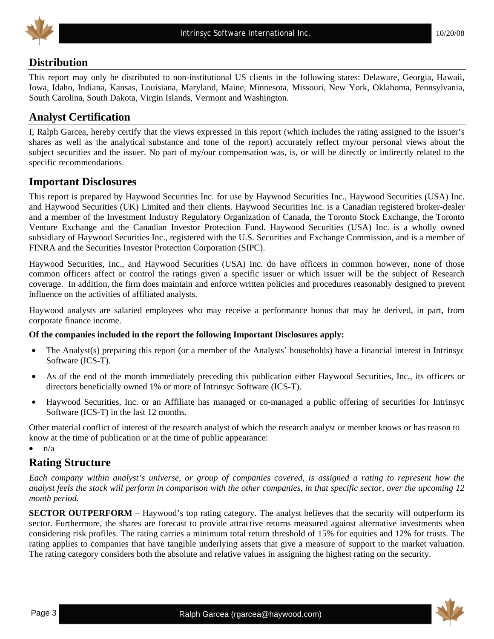

## **Distribution**

This report may only be distributed to non-institutional US clients in the following states: Delaware, Georgia, Hawaii, Iowa, Idaho, Indiana, Kansas, Louisiana, Maryland, Maine, Minnesota, Missouri, New York, Oklahoma, Pennsylvania, South Carolina, South Dakota, Virgin Islands, Vermont and Washington.

## **Analyst Certification**

I, Ralph Garcea, hereby certify that the views expressed in this report (which includes the rating assigned to the issuer's shares as well as the analytical substance and tone of the report) accurately reflect my/our personal views about the subject securities and the issuer. No part of my/our compensation was, is, or will be directly or indirectly related to the specific recommendations.

## **Important Disclosures**

This report is prepared by Haywood Securities Inc. for use by Haywood Securities Inc., Haywood Securities (USA) Inc. and Haywood Securities (UK) Limited and their clients. Haywood Securities Inc. is a Canadian registered broker-dealer and a member of the Investment Industry Regulatory Organization of Canada, the Toronto Stock Exchange, the Toronto Venture Exchange and the Canadian Investor Protection Fund. Haywood Securities (USA) Inc. is a wholly owned subsidiary of Haywood Securities Inc., registered with the U.S. Securities and Exchange Commission, and is a member of FINRA and the Securities Investor Protection Corporation (SIPC).

Haywood Securities, Inc., and Haywood Securities (USA) Inc. do have officers in common however, none of those common officers affect or control the ratings given a specific issuer or which issuer will be the subject of Research coverage. In addition, the firm does maintain and enforce written policies and procedures reasonably designed to prevent influence on the activities of affiliated analysts.

Haywood analysts are salaried employees who may receive a performance bonus that may be derived, in part, from corporate finance income.

#### **Of the companies included in the report the following Important Disclosures apply:**

- The Analyst(s) preparing this report (or a member of the Analysts' households) have a financial interest in Intrinsyc Software (ICS-T).
- As of the end of the month immediately preceding this publication either Haywood Securities, Inc., its officers or directors beneficially owned 1% or more of Intrinsyc Software (ICS-T).
- Haywood Securities, Inc. or an Affiliate has managed or co-managed a public offering of securities for Intrinsyc Software (ICS-T) in the last 12 months.

Other material conflict of interest of the research analyst of which the research analyst or member knows or has reason to know at the time of publication or at the time of public appearance:

 $\bullet$   $n/a$ 

# **Rating Structure**

*Each company within analyst's universe, or group of companies covered, is assigned a rating to represent how the analyst feels the stock will perform in comparison with the other companies, in that specific sector, over the upcoming 12 month period.* 

**SECTOR OUTPERFORM** – Haywood's top rating category. The analyst believes that the security will outperform its sector. Furthermore, the shares are forecast to provide attractive returns measured against alternative investments when considering risk profiles. The rating carries a minimum total return threshold of 15% for equities and 12% for trusts. The rating applies to companies that have tangible underlying assets that give a measure of support to the market valuation. The rating category considers both the absolute and relative values in assigning the highest rating on the security.

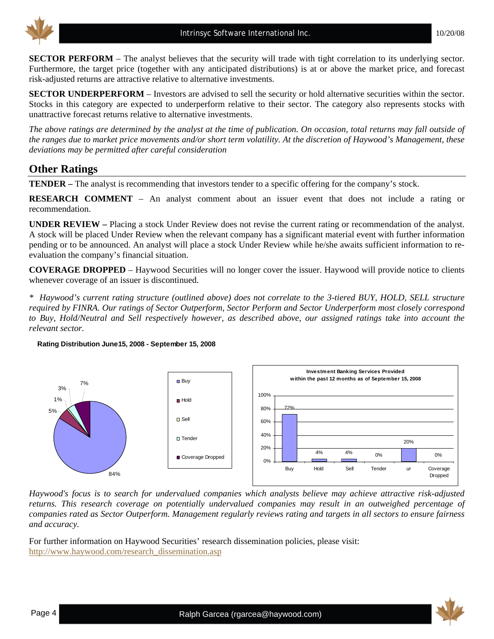

**SECTOR PERFORM** – The analyst believes that the security will trade with tight correlation to its underlying sector. Furthermore, the target price (together with any anticipated distributions) is at or above the market price, and forecast risk-adjusted returns are attractive relative to alternative investments.

**SECTOR UNDERPERFORM** – Investors are advised to sell the security or hold alternative securities within the sector. Stocks in this category are expected to underperform relative to their sector. The category also represents stocks with unattractive forecast returns relative to alternative investments.

*The above ratings are determined by the analyst at the time of publication. On occasion, total returns may fall outside of the ranges due to market price movements and/or short term volatility. At the discretion of Haywood's Management, these deviations may be permitted after careful consideration* 

# **Other Ratings**

**TENDER –** The analyst is recommending that investors tender to a specific offering for the company's stock.

**RESEARCH COMMENT** – An analyst comment about an issuer event that does not include a rating or recommendation.

**UNDER REVIEW –** Placing a stock Under Review does not revise the current rating or recommendation of the analyst. A stock will be placed Under Review when the relevant company has a significant material event with further information pending or to be announced. An analyst will place a stock Under Review while he/she awaits sufficient information to reevaluation the company's financial situation.

**COVERAGE DROPPED** – Haywood Securities will no longer cover the issuer. Haywood will provide notice to clients whenever coverage of an issuer is discontinued.

*\* Haywood's current rating structure (outlined above) does not correlate to the 3-tiered BUY, HOLD, SELL structure required by FINRA. Our ratings of Sector Outperform, Sector Perform and Sector Underperform most closely correspond to Buy, Hold/Neutral and Sell respectively however, as described above, our assigned ratings take into account the relevant sector.* 

#### **Rating Distribution June15, 2008 - September 15, 2008**



*Haywood's focus is to search for undervalued companies which analysts believe may achieve attractive risk-adjusted returns. This research coverage on potentially undervalued companies may result in an outweighed percentage of companies rated as Sector Outperform. Management regularly reviews rating and targets in all sectors to ensure fairness and accuracy.* 

For further information on Haywood Securities' research dissemination policies, please visit: [http://www.haywood.com/research\\_dissemination.asp](http://www.haywood.com/research_dissemination.asp) 

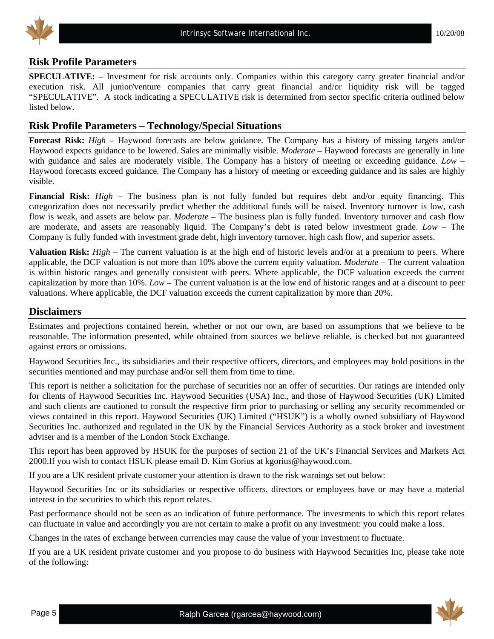

### **Risk Profile Parameters**

**SPECULATIVE:** – Investment for risk accounts only. Companies within this category carry greater financial and/or execution risk. All junior/venture companies that carry great financial and/or liquidity risk will be tagged "SPECULATIVE". A stock indicating a SPECULATIVE risk is determined from sector specific criteria outlined below listed below.

### **Risk Profile Parameters – Technology/Special Situations**

**Forecast Risk:** *High* – Haywood forecasts are below guidance. The Company has a history of missing targets and/or Haywood expects guidance to be lowered. Sales are minimally visible. *Moderate* – Haywood forecasts are generally in line with guidance and sales are moderately visible. The Company has a history of meeting or exceeding guidance. *Low* – Haywood forecasts exceed guidance. The Company has a history of meeting or exceeding guidance and its sales are highly visible.

**Financial Risk:** *High* – The business plan is not fully funded but requires debt and/or equity financing. This categorization does not necessarily predict whether the additional funds will be raised. Inventory turnover is low, cash flow is weak, and assets are below par. *Moderate* – The business plan is fully funded. Inventory turnover and cash flow are moderate, and assets are reasonably liquid. The Company's debt is rated below investment grade. *Low* – The Company is fully funded with investment grade debt, high inventory turnover, high cash flow, and superior assets.

**Valuation Risk:** *High* – The current valuation is at the high end of historic levels and/or at a premium to peers. Where applicable, the DCF valuation is not more than 10% above the current equity valuation. *Moderate* – The current valuation is within historic ranges and generally consistent with peers. Where applicable, the DCF valuation exceeds the current capitalization by more than 10%. *Low* – The current valuation is at the low end of historic ranges and at a discount to peer valuations. Where applicable, the DCF valuation exceeds the current capitalization by more than 20%.

#### **Disclaimers**

Estimates and projections contained herein, whether or not our own, are based on assumptions that we believe to be reasonable. The information presented, while obtained from sources we believe reliable, is checked but not guaranteed against errors or omissions.

Haywood Securities Inc., its subsidiaries and their respective officers, directors, and employees may hold positions in the securities mentioned and may purchase and/or sell them from time to time.

This report is neither a solicitation for the purchase of securities nor an offer of securities. Our ratings are intended only for clients of Haywood Securities Inc. Haywood Securities (USA) Inc., and those of Haywood Securities (UK) Limited and such clients are cautioned to consult the respective firm prior to purchasing or selling any security recommended or views contained in this report. Haywood Securities (UK) Limited ("HSUK") is a wholly owned subsidiary of Haywood Securities Inc. authorized and regulated in the UK by the Financial Services Authority as a stock broker and investment adviser and is a member of the London Stock Exchange.

This report has been approved by HSUK for the purposes of section 21 of the UK's Financial Services and Markets Act 2000.If you wish to contact HSUK please email D. Kim Gorius at kgorius@haywood.com.

If you are a UK resident private customer your attention is drawn to the risk warnings set out below:

Haywood Securities Inc or its subsidiaries or respective officers, directors or employees have or may have a material interest in the securities to which this report relates.

Past performance should not be seen as an indication of future performance. The investments to which this report relates can fluctuate in value and accordingly you are not certain to make a profit on any investment: you could make a loss.

Changes in the rates of exchange between currencies may cause the value of your investment to fluctuate.

If you are a UK resident private customer and you propose to do business with Haywood Securities Inc, please take note of the following: